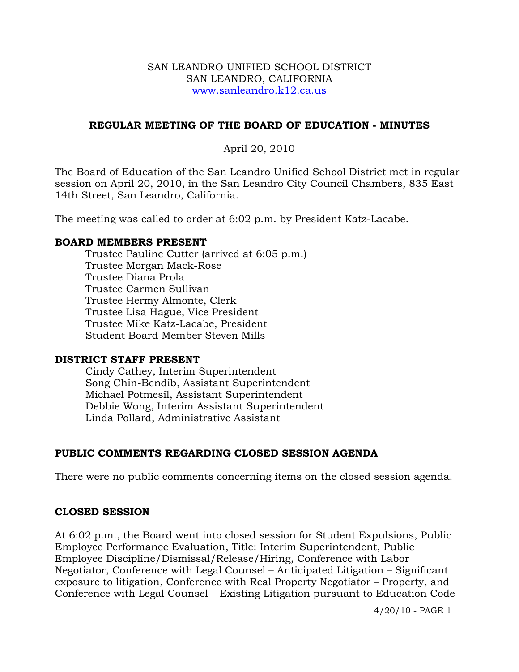#### SAN LEANDRO UNIFIED SCHOOL DISTRICT SAN LEANDRO, CALIFORNIA www.sanleandro.k12.ca.us

# **REGULAR MEETING OF THE BOARD OF EDUCATION - MINUTES**

# April 20, 2010

The Board of Education of the San Leandro Unified School District met in regular session on April 20, 2010, in the San Leandro City Council Chambers, 835 East 14th Street, San Leandro, California.

The meeting was called to order at 6:02 p.m. by President Katz-Lacabe.

#### **BOARD MEMBERS PRESENT**

Trustee Pauline Cutter (arrived at 6:05 p.m.) Trustee Morgan Mack-Rose Trustee Diana Prola Trustee Carmen Sullivan Trustee Hermy Almonte, Clerk Trustee Lisa Hague, Vice President Trustee Mike Katz-Lacabe, President Student Board Member Steven Mills

#### **DISTRICT STAFF PRESENT**

Cindy Cathey, Interim Superintendent Song Chin-Bendib, Assistant Superintendent Michael Potmesil, Assistant Superintendent Debbie Wong, Interim Assistant Superintendent Linda Pollard, Administrative Assistant

# **PUBLIC COMMENTS REGARDING CLOSED SESSION AGENDA**

There were no public comments concerning items on the closed session agenda.

# **CLOSED SESSION**

At 6:02 p.m., the Board went into closed session for Student Expulsions, Public Employee Performance Evaluation, Title: Interim Superintendent, Public Employee Discipline/Dismissal/Release/Hiring, Conference with Labor Negotiator, Conference with Legal Counsel – Anticipated Litigation – Significant exposure to litigation, Conference with Real Property Negotiator – Property, and Conference with Legal Counsel – Existing Litigation pursuant to Education Code

4/20/10 - PAGE 1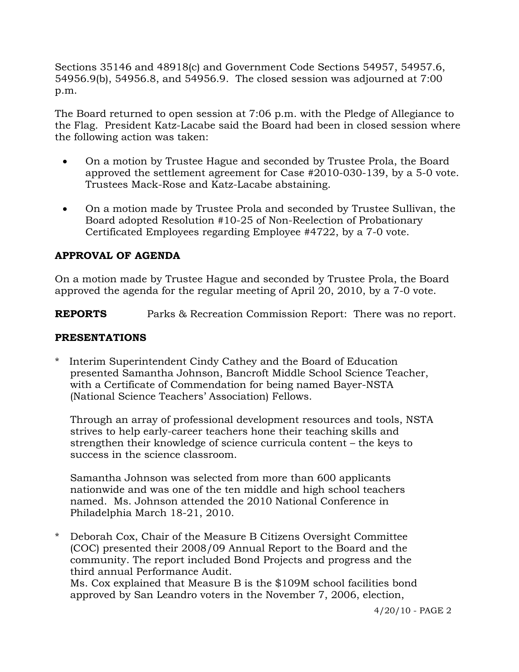Sections 35146 and 48918(c) and Government Code Sections 54957, 54957.6, 54956.9(b), 54956.8, and 54956.9. The closed session was adjourned at 7:00 p.m.

The Board returned to open session at 7:06 p.m. with the Pledge of Allegiance to the Flag. President Katz-Lacabe said the Board had been in closed session where the following action was taken:

- On a motion by Trustee Hague and seconded by Trustee Prola, the Board approved the settlement agreement for Case #2010-030-139, by a 5-0 vote. Trustees Mack-Rose and Katz-Lacabe abstaining.
- On a motion made by Trustee Prola and seconded by Trustee Sullivan, the Board adopted Resolution #10-25 of Non-Reelection of Probationary Certificated Employees regarding Employee #4722, by a 7-0 vote.

# **APPROVAL OF AGENDA**

On a motion made by Trustee Hague and seconded by Trustee Prola, the Board approved the agenda for the regular meeting of April 20, 2010, by a 7-0 vote.

**REPORTS** Parks & Recreation Commission Report: There was no report.

#### **PRESENTATIONS**

\* Interim Superintendent Cindy Cathey and the Board of Education presented Samantha Johnson, Bancroft Middle School Science Teacher, with a Certificate of Commendation for being named Bayer-NSTA (National Science Teachers' Association) Fellows.

 Through an array of professional development resources and tools, NSTA strives to help early-career teachers hone their teaching skills and strengthen their knowledge of science curricula content – the keys to success in the science classroom.

 Samantha Johnson was selected from more than 600 applicants nationwide and was one of the ten middle and high school teachers named. Ms. Johnson attended the 2010 National Conference in Philadelphia March 18-21, 2010.

\* Deborah Cox, Chair of the Measure B Citizens Oversight Committee (COC) presented their 2008/09 Annual Report to the Board and the community. The report included Bond Projects and progress and the third annual Performance Audit. Ms. Cox explained that Measure B is the \$109M school facilities bond approved by San Leandro voters in the November 7, 2006, election,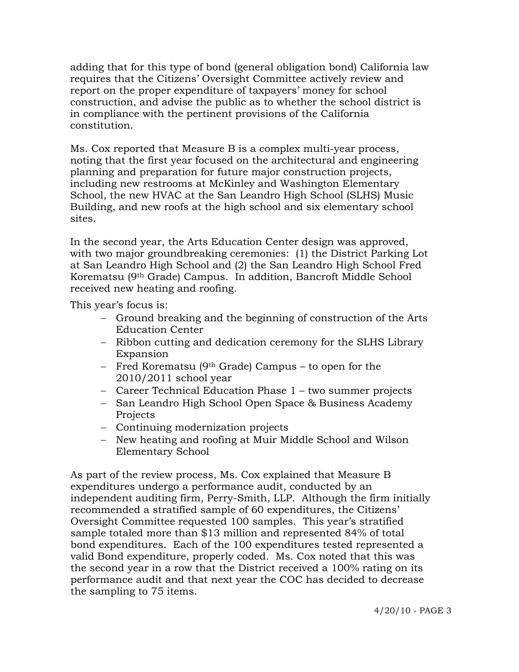adding that for this type of bond (general obligation bond) California law requires that the Citizens' Oversight Committee actively review and report on the proper expenditure of taxpayers' money for school construction, and advise the public as to whether the school district is in compliance with the pertinent provisions of the California constitution.

 Ms. Cox reported that Measure B is a complex multi-year process, noting that the first year focused on the architectural and engineering planning and preparation for future major construction projects, including new restrooms at McKinley and Washington Elementary School, the new HVAC at the San Leandro High School (SLHS) Music Building, and new roofs at the high school and six elementary school sites.

 In the second year, the Arts Education Center design was approved, with two major groundbreaking ceremonies: (1) the District Parking Lot at San Leandro High School and (2) the San Leandro High School Fred Korematsu (9th Grade) Campus. In addition, Bancroft Middle School received new heating and roofing.

This year's focus is:

- − Ground breaking and the beginning of construction of the Arts Education Center
- − Ribbon cutting and dedication ceremony for the SLHS Library Expansion
- − Fred Korematsu (9th Grade) Campus to open for the 2010/2011 school year
- − Career Technical Education Phase 1 two summer projects
- − San Leandro High School Open Space & Business Academy Projects
- − Continuing modernization projects
- − New heating and roofing at Muir Middle School and Wilson Elementary School

 As part of the review process, Ms. Cox explained that Measure B expenditures undergo a performance audit, conducted by an independent auditing firm, Perry-Smith, LLP. Although the firm initially recommended a stratified sample of 60 expenditures, the Citizens' Oversight Committee requested 100 samples. This year's stratified sample totaled more than \$13 million and represented 84% of total bond expenditures. Each of the 100 expenditures tested represented a valid Bond expenditure, properly coded. Ms. Cox noted that this was the second year in a row that the District received a 100% rating on its performance audit and that next year the COC has decided to decrease the sampling to 75 items.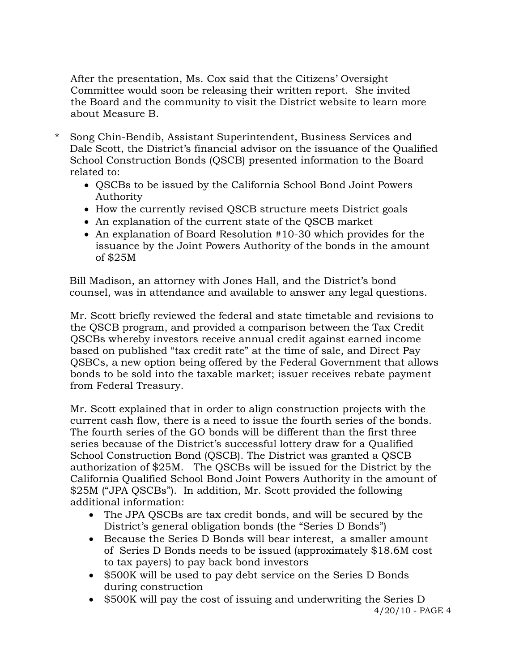After the presentation, Ms. Cox said that the Citizens' Oversight Committee would soon be releasing their written report. She invited the Board and the community to visit the District website to learn more about Measure B.

- \* Song Chin-Bendib, Assistant Superintendent, Business Services and Dale Scott, the District's financial advisor on the issuance of the Qualified School Construction Bonds (QSCB) presented information to the Board related to:
	- QSCBs to be issued by the California School Bond Joint Powers Authority
	- How the currently revised QSCB structure meets District goals
	- An explanation of the current state of the QSCB market
	- An explanation of Board Resolution #10-30 which provides for the issuance by the Joint Powers Authority of the bonds in the amount of \$25M

Bill Madison, an attorney with Jones Hall, and the District's bond counsel, was in attendance and available to answer any legal questions.

 Mr. Scott briefly reviewed the federal and state timetable and revisions to the QSCB program, and provided a comparison between the Tax Credit QSCBs whereby investors receive annual credit against earned income based on published "tax credit rate" at the time of sale, and Direct Pay QSBCs, a new option being offered by the Federal Government that allows bonds to be sold into the taxable market; issuer receives rebate payment from Federal Treasury.

Mr. Scott explained that in order to align construction projects with the current cash flow, there is a need to issue the fourth series of the bonds. The fourth series of the GO bonds will be different than the first three series because of the District's successful lottery draw for a Qualified School Construction Bond (QSCB). The District was granted a QSCB authorization of \$25M. The QSCBs will be issued for the District by the California Qualified School Bond Joint Powers Authority in the amount of \$25M ("JPA QSCBs"). In addition, Mr. Scott provided the following additional information:

- The JPA QSCBs are tax credit bonds, and will be secured by the District's general obligation bonds (the "Series D Bonds")
- Because the Series D Bonds will bear interest, a smaller amount of Series D Bonds needs to be issued (approximately \$18.6M cost to tax payers) to pay back bond investors
- \$500K will be used to pay debt service on the Series D Bonds during construction
- \$500K will pay the cost of issuing and underwriting the Series D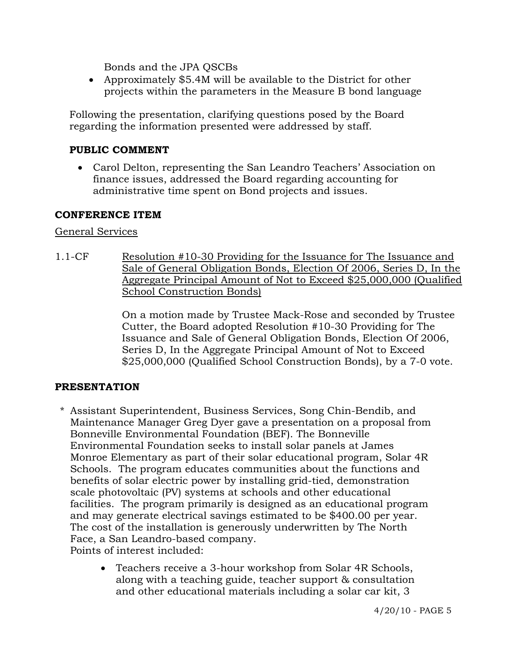Bonds and the JPA QSCBs

• Approximately \$5.4M will be available to the District for other projects within the parameters in the Measure B bond language

Following the presentation, clarifying questions posed by the Board regarding the information presented were addressed by staff.

# **PUBLIC COMMENT**

• Carol Delton, representing the San Leandro Teachers' Association on finance issues, addressed the Board regarding accounting for administrative time spent on Bond projects and issues.

#### **CONFERENCE ITEM**

#### General Services

1.1-CF Resolution #10-30 Providing for the Issuance for The Issuance and Sale of General Obligation Bonds, Election Of 2006, Series D, In the Aggregate Principal Amount of Not to Exceed \$25,000,000 (Qualified School Construction Bonds)

> On a motion made by Trustee Mack-Rose and seconded by Trustee Cutter, the Board adopted Resolution #10-30 Providing for The Issuance and Sale of General Obligation Bonds, Election Of 2006, Series D, In the Aggregate Principal Amount of Not to Exceed \$25,000,000 (Qualified School Construction Bonds), by a 7-0 vote.

# **PRESENTATION**

\* Assistant Superintendent, Business Services, Song Chin-Bendib, and Maintenance Manager Greg Dyer gave a presentation on a proposal from Bonneville Environmental Foundation (BEF). The Bonneville Environmental Foundation seeks to install solar panels at James Monroe Elementary as part of their solar educational program, Solar 4R Schools. The program educates communities about the functions and benefits of solar electric power by installing grid-tied, demonstration scale photovoltaic (PV) systems at schools and other educational facilities. The program primarily is designed as an educational program and may generate electrical savings estimated to be \$400.00 per year. The cost of the installation is generously underwritten by The North Face, a San Leandro-based company.

Points of interest included:

• Teachers receive a 3-hour workshop from Solar 4R Schools, along with a teaching guide, teacher support & consultation and other educational materials including a solar car kit, 3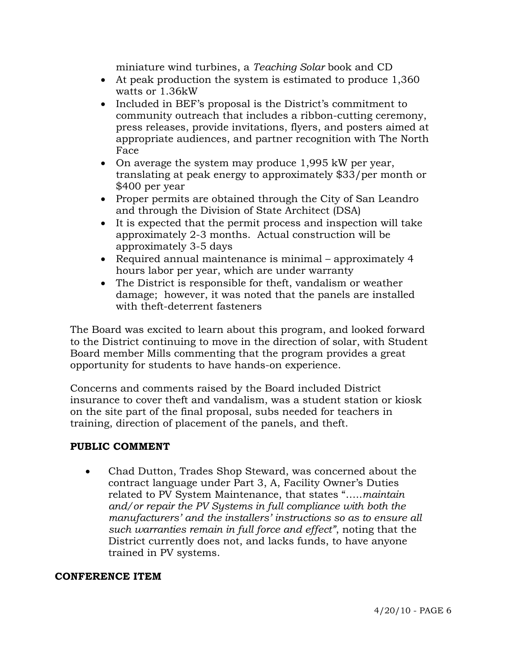miniature wind turbines, a *Teaching Solar* book and CD

- At peak production the system is estimated to produce 1,360 watts or 1.36kW
- Included in BEF's proposal is the District's commitment to community outreach that includes a ribbon-cutting ceremony, press releases, provide invitations, flyers, and posters aimed at appropriate audiences, and partner recognition with The North Face
- On average the system may produce 1,995 kW per year, translating at peak energy to approximately \$33/per month or \$400 per year
- Proper permits are obtained through the City of San Leandro and through the Division of State Architect (DSA)
- It is expected that the permit process and inspection will take approximately 2-3 months. Actual construction will be approximately 3-5 days
- Required annual maintenance is minimal approximately 4 hours labor per year, which are under warranty
- The District is responsible for theft, vandalism or weather damage; however, it was noted that the panels are installed with theft-deterrent fasteners

 The Board was excited to learn about this program, and looked forward to the District continuing to move in the direction of solar, with Student Board member Mills commenting that the program provides a great opportunity for students to have hands-on experience.

 Concerns and comments raised by the Board included District insurance to cover theft and vandalism, was a student station or kiosk on the site part of the final proposal, subs needed for teachers in training, direction of placement of the panels, and theft.

# **PUBLIC COMMENT**

• Chad Dutton, Trades Shop Steward, was concerned about the contract language under Part 3, A, Facility Owner's Duties related to PV System Maintenance, that states "…..*maintain and/or repair the PV Systems in full compliance with both the manufacturers' and the installers' instructions so as to ensure all such warranties remain in full force and effect"*, noting that the District currently does not, and lacks funds, to have anyone trained in PV systems.

#### **CONFERENCE ITEM**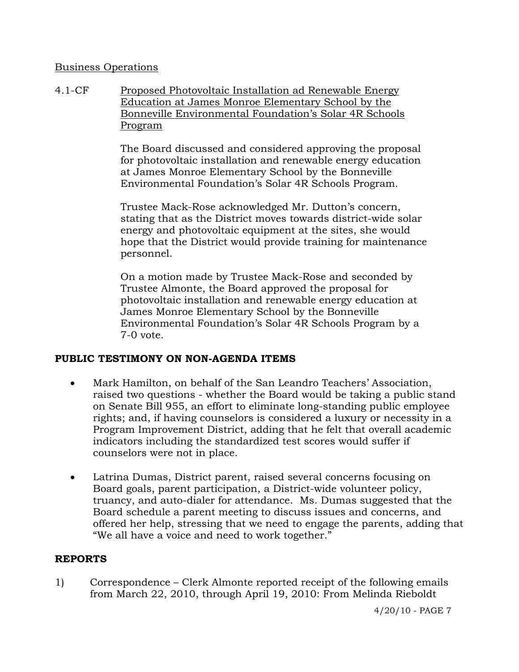#### Business Operations

4.1-CF Proposed Photovoltaic Installation ad Renewable Energy Education at James Monroe Elementary School by the Bonneville Environmental Foundation's Solar 4R Schools Program

> The Board discussed and considered approving the proposal for photovoltaic installation and renewable energy education at James Monroe Elementary School by the Bonneville Environmental Foundation's Solar 4R Schools Program.

Trustee Mack-Rose acknowledged Mr. Dutton's concern, stating that as the District moves towards district-wide solar energy and photovoltaic equipment at the sites, she would hope that the District would provide training for maintenance personnel.

On a motion made by Trustee Mack-Rose and seconded by Trustee Almonte, the Board approved the proposal for photovoltaic installation and renewable energy education at James Monroe Elementary School by the Bonneville Environmental Foundation's Solar 4R Schools Program by a 7-0 vote.

# **PUBLIC TESTIMONY ON NON-AGENDA ITEMS**

- Mark Hamilton, on behalf of the San Leandro Teachers' Association, raised two questions - whether the Board would be taking a public stand on Senate Bill 955, an effort to eliminate long-standing public employee rights; and, if having counselors is considered a luxury or necessity in a Program Improvement District, adding that he felt that overall academic indicators including the standardized test scores would suffer if counselors were not in place.
- Latrina Dumas, District parent, raised several concerns focusing on Board goals, parent participation, a District-wide volunteer policy, truancy, and auto-dialer for attendance. Ms. Dumas suggested that the Board schedule a parent meeting to discuss issues and concerns, and offered her help, stressing that we need to engage the parents, adding that "We all have a voice and need to work together."

# **REPORTS**

1) Correspondence – Clerk Almonte reported receipt of the following emails from March 22, 2010, through April 19, 2010: From Melinda Rieboldt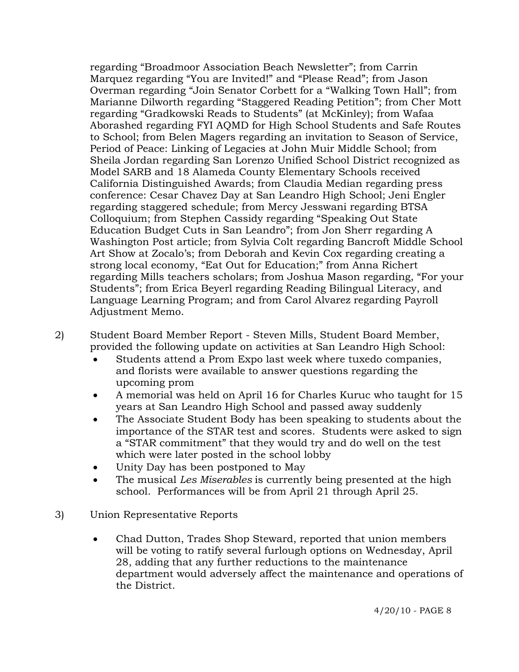regarding "Broadmoor Association Beach Newsletter"; from Carrin Marquez regarding "You are Invited!" and "Please Read"; from Jason Overman regarding "Join Senator Corbett for a "Walking Town Hall"; from Marianne Dilworth regarding "Staggered Reading Petition"; from Cher Mott regarding "Gradkowski Reads to Students" (at McKinley); from Wafaa Aborashed regarding FYI AQMD for High School Students and Safe Routes to School; from Belen Magers regarding an invitation to Season of Service, Period of Peace: Linking of Legacies at John Muir Middle School; from Sheila Jordan regarding San Lorenzo Unified School District recognized as Model SARB and 18 Alameda County Elementary Schools received California Distinguished Awards; from Claudia Median regarding press conference: Cesar Chavez Day at San Leandro High School; Jeni Engler regarding staggered schedule; from Mercy Jesswani regarding BTSA Colloquium; from Stephen Cassidy regarding "Speaking Out State Education Budget Cuts in San Leandro"; from Jon Sherr regarding A Washington Post article; from Sylvia Colt regarding Bancroft Middle School Art Show at Zocalo's; from Deborah and Kevin Cox regarding creating a strong local economy, "Eat Out for Education;" from Anna Richert regarding Mills teachers scholars; from Joshua Mason regarding, "For your Students"; from Erica Beyerl regarding Reading Bilingual Literacy, and Language Learning Program; and from Carol Alvarez regarding Payroll Adjustment Memo.

2) Student Board Member Report - Steven Mills, Student Board Member, provided the following update on activities at San Leandro High School:

- Students attend a Prom Expo last week where tuxedo companies, and florists were available to answer questions regarding the upcoming prom
- A memorial was held on April 16 for Charles Kuruc who taught for 15 years at San Leandro High School and passed away suddenly
- The Associate Student Body has been speaking to students about the importance of the STAR test and scores. Students were asked to sign a "STAR commitment" that they would try and do well on the test which were later posted in the school lobby
- Unity Day has been postponed to May
- The musical *Les Miserables* is currently being presented at the high school. Performances will be from April 21 through April 25.
- 3) Union Representative Reports
	- Chad Dutton, Trades Shop Steward, reported that union members will be voting to ratify several furlough options on Wednesday, April 28, adding that any further reductions to the maintenance department would adversely affect the maintenance and operations of the District.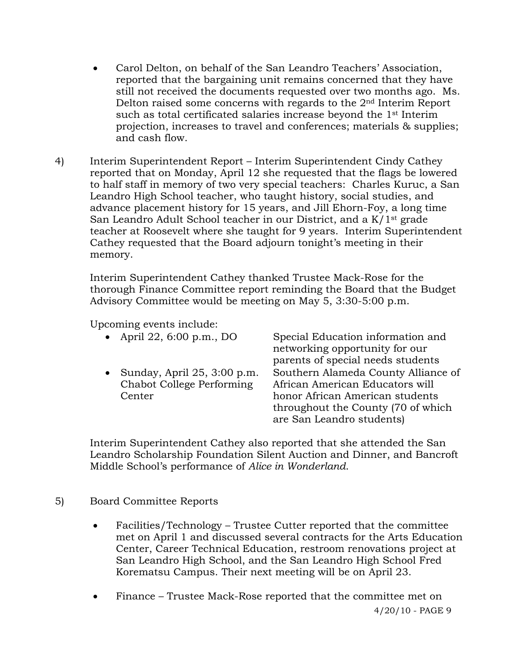- Carol Delton, on behalf of the San Leandro Teachers' Association, reported that the bargaining unit remains concerned that they have still not received the documents requested over two months ago. Ms. Delton raised some concerns with regards to the 2nd Interim Report such as total certificated salaries increase beyond the 1st Interim projection, increases to travel and conferences; materials & supplies; and cash flow.
- 4) Interim Superintendent Report Interim Superintendent Cindy Cathey reported that on Monday, April 12 she requested that the flags be lowered to half staff in memory of two very special teachers: Charles Kuruc, a San Leandro High School teacher, who taught history, social studies, and advance placement history for 15 years, and Jill Ehorn-Foy, a long time San Leandro Adult School teacher in our District, and a K/1st grade teacher at Roosevelt where she taught for 9 years. Interim Superintendent Cathey requested that the Board adjourn tonight's meeting in their memory.

Interim Superintendent Cathey thanked Trustee Mack-Rose for the thorough Finance Committee report reminding the Board that the Budget Advisory Committee would be meeting on May 5, 3:30-5:00 p.m.

Upcoming events include:

| • April 22, 6:00 p.m., DO          | Special Education information and   |
|------------------------------------|-------------------------------------|
|                                    | networking opportunity for our      |
|                                    | parents of special needs students   |
| • Sunday, April $25$ , $3:00$ p.m. | Southern Alameda County Alliance of |
| Chabot College Performing          | African American Educators will     |
| Center                             | honor African American students     |
|                                    | throughout the County (70 of which  |
|                                    | are San Leandro students)           |

Interim Superintendent Cathey also reported that she attended the San Leandro Scholarship Foundation Silent Auction and Dinner, and Bancroft Middle School's performance of *Alice in Wonderland*.

# 5) Board Committee Reports

- Facilities/Technology Trustee Cutter reported that the committee met on April 1 and discussed several contracts for the Arts Education Center, Career Technical Education, restroom renovations project at San Leandro High School, and the San Leandro High School Fred Korematsu Campus. Their next meeting will be on April 23.
- Finance Trustee Mack-Rose reported that the committee met on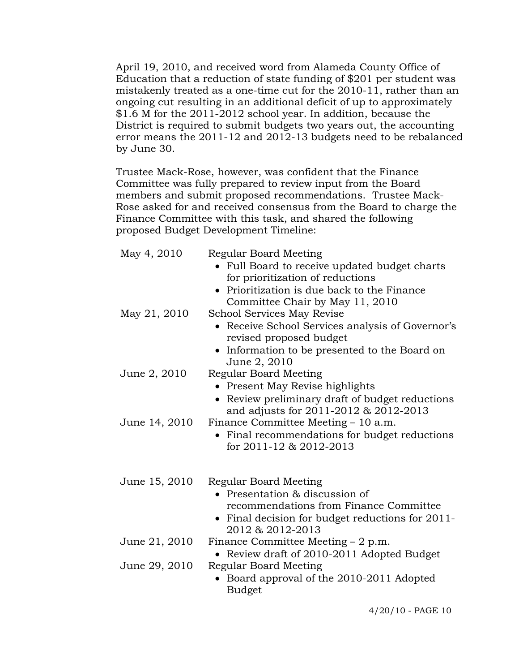April 19, 2010, and received word from Alameda County Office of Education that a reduction of state funding of \$201 per student was mistakenly treated as a one-time cut for the 2010-11, rather than an ongoing cut resulting in an additional deficit of up to approximately \$1.6 M for the 2011-2012 school year. In addition, because the District is required to submit budgets two years out, the accounting error means the 2011-12 and 2012-13 budgets need to be rebalanced by June 30.

 Trustee Mack-Rose, however, was confident that the Finance Committee was fully prepared to review input from the Board members and submit proposed recommendations. Trustee Mack- Rose asked for and received consensus from the Board to charge the Finance Committee with this task, and shared the following proposed Budget Development Timeline:

| May 4, 2010   | Regular Board Meeting<br>Full Board to receive updated budget charts<br>for prioritization of reductions<br>• Prioritization is due back to the Finance<br>Committee Chair by May 11, 2010 |
|---------------|--------------------------------------------------------------------------------------------------------------------------------------------------------------------------------------------|
| May 21, 2010  | <b>School Services May Revise</b><br>• Receive School Services analysis of Governor's<br>revised proposed budget<br>• Information to be presented to the Board on<br>June 2, 2010          |
| June 2, 2010  | Regular Board Meeting<br>Present May Revise highlights<br>• Review preliminary draft of budget reductions                                                                                  |
| June 14, 2010 | and adjusts for 2011-2012 & 2012-2013<br>Finance Committee Meeting - 10 a.m.<br>• Final recommendations for budget reductions<br>for $2011 - 12$ & $2012 - 2013$                           |
| June 15, 2010 | Regular Board Meeting<br>• Presentation & discussion of<br>recommendations from Finance Committee<br>• Final decision for budget reductions for 2011-<br>2012 & 2012-2013                  |
| June 21, 2010 | Finance Committee Meeting $-2$ p.m.<br>Review draft of 2010-2011 Adopted Budget                                                                                                            |
| June 29, 2010 | Regular Board Meeting<br>Board approval of the 2010-2011 Adopted<br><b>Budget</b>                                                                                                          |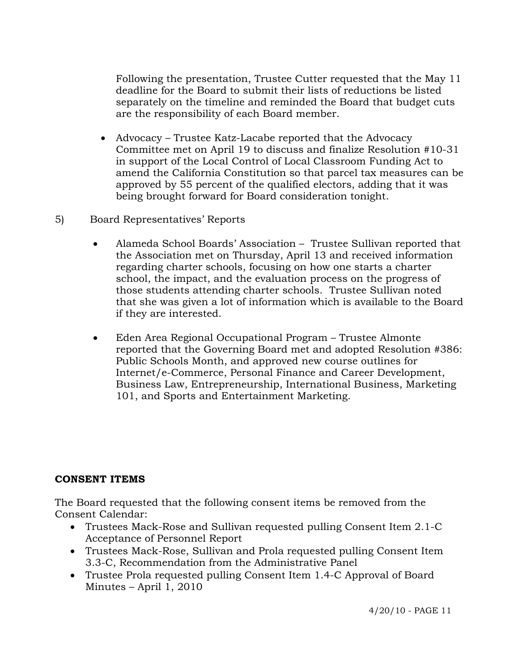Following the presentation, Trustee Cutter requested that the May 11 deadline for the Board to submit their lists of reductions be listed separately on the timeline and reminded the Board that budget cuts are the responsibility of each Board member.

- Advocacy Trustee Katz-Lacabe reported that the Advocacy Committee met on April 19 to discuss and finalize Resolution #10-31 in support of the Local Control of Local Classroom Funding Act to amend the California Constitution so that parcel tax measures can be approved by 55 percent of the qualified electors, adding that it was being brought forward for Board consideration tonight.
- 5) Board Representatives' Reports
	- Alameda School Boards' Association Trustee Sullivan reported that the Association met on Thursday, April 13 and received information regarding charter schools, focusing on how one starts a charter school, the impact, and the evaluation process on the progress of those students attending charter schools. Trustee Sullivan noted that she was given a lot of information which is available to the Board if they are interested.
	- Eden Area Regional Occupational Program Trustee Almonte reported that the Governing Board met and adopted Resolution #386: Public Schools Month, and approved new course outlines for Internet/e-Commerce, Personal Finance and Career Development, Business Law, Entrepreneurship, International Business, Marketing 101, and Sports and Entertainment Marketing.

# **CONSENT ITEMS**

The Board requested that the following consent items be removed from the Consent Calendar:

- Trustees Mack-Rose and Sullivan requested pulling Consent Item 2.1-C Acceptance of Personnel Report
- Trustees Mack-Rose, Sullivan and Prola requested pulling Consent Item 3.3-C, Recommendation from the Administrative Panel
- Trustee Prola requested pulling Consent Item 1.4-C Approval of Board Minutes – April 1, 2010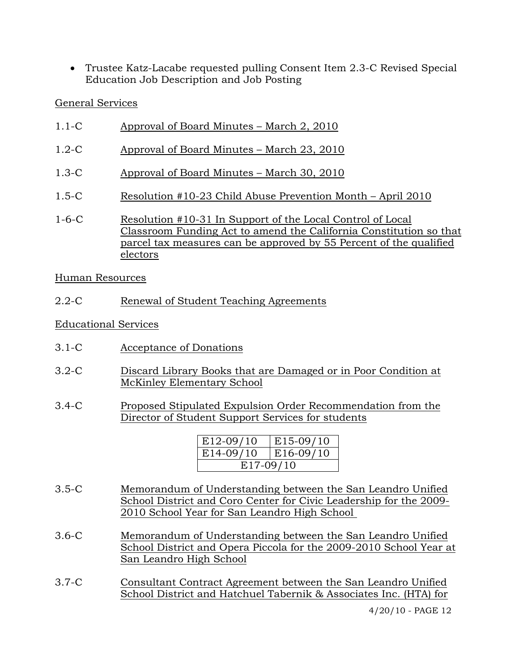• Trustee Katz-Lacabe requested pulling Consent Item 2.3-C Revised Special Education Job Description and Job Posting

# General Services

- 1.1-C Approval of Board Minutes March 2, 2010
- 1.2-C Approval of Board Minutes March 23, 2010
- 1.3-C Approval of Board Minutes March 30, 2010
- 1.5-C Resolution #10-23 Child Abuse Prevention Month April 2010
- 1-6-C Resolution #10-31 In Support of the Local Control of Local Classroom Funding Act to amend the California Constitution so that parcel tax measures can be approved by 55 Percent of the qualified electors

Human Resources

2.2-C Renewal of Student Teaching Agreements

Educational Services

- 3.1-C Acceptance of Donations
- 3.2-C Discard Library Books that are Damaged or in Poor Condition at McKinley Elementary School
- 3.4-C Proposed Stipulated Expulsion Order Recommendation from the Director of Student Support Services for students

| E <sub>12</sub> -09/10 | E15-09/10   |  |  |  |
|------------------------|-------------|--|--|--|
| $E14-09/10$            | $E16-09/10$ |  |  |  |
| E17-09/10              |             |  |  |  |

- 3.5-C Memorandum of Understanding between the San Leandro Unified School District and Coro Center for Civic Leadership for the 2009- 2010 School Year for San Leandro High School
- 3.6-C Memorandum of Understanding between the San Leandro Unified School District and Opera Piccola for the 2009-2010 School Year at San Leandro High School
- 3.7-C Consultant Contract Agreement between the San Leandro Unified School District and Hatchuel Tabernik & Associates Inc. (HTA) for

4/20/10 - PAGE 12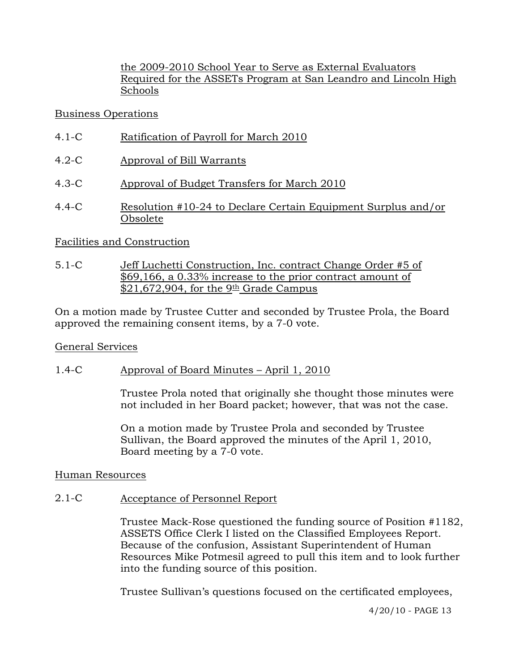the 2009-2010 School Year to Serve as External Evaluators Required for the ASSETs Program at San Leandro and Lincoln High Schools

# Business Operations

- 4.1-C Ratification of Payroll for March 2010
- 4.2-C Approval of Bill Warrants
- 4.3-C Approval of Budget Transfers for March 2010
- 4.4-C Resolution #10-24 to Declare Certain Equipment Surplus and/or Obsolete

# Facilities and Construction

5.1-C Jeff Luchetti Construction, Inc. contract Change Order #5 of \$69,166, a 0.33% increase to the prior contract amount of  $$21,672,904$ , for the  $9<sup>th</sup>$  Grade Campus

On a motion made by Trustee Cutter and seconded by Trustee Prola, the Board approved the remaining consent items, by a 7-0 vote.

# General Services

# 1.4-C Approval of Board Minutes – April 1, 2010

Trustee Prola noted that originally she thought those minutes were not included in her Board packet; however, that was not the case.

On a motion made by Trustee Prola and seconded by Trustee Sullivan, the Board approved the minutes of the April 1, 2010, Board meeting by a 7-0 vote.

# Human Resources

# 2.1-C Acceptance of Personnel Report

Trustee Mack-Rose questioned the funding source of Position #1182, ASSETS Office Clerk I listed on the Classified Employees Report. Because of the confusion, Assistant Superintendent of Human Resources Mike Potmesil agreed to pull this item and to look further into the funding source of this position.

Trustee Sullivan's questions focused on the certificated employees,

4/20/10 - PAGE 13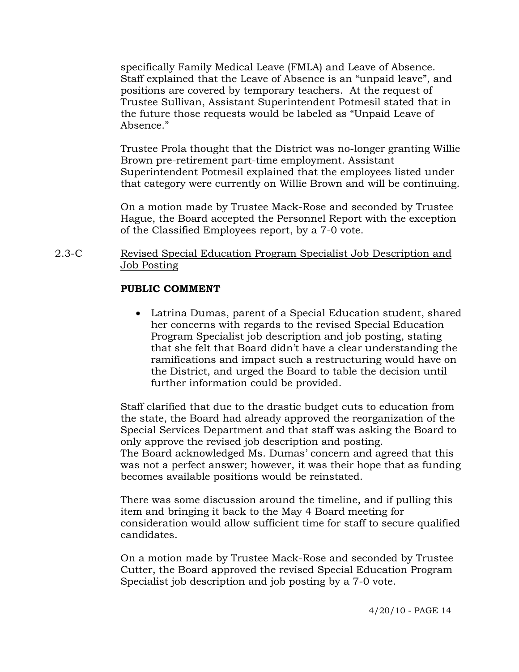specifically Family Medical Leave (FMLA) and Leave of Absence. Staff explained that the Leave of Absence is an "unpaid leave", and positions are covered by temporary teachers. At the request of Trustee Sullivan, Assistant Superintendent Potmesil stated that in the future those requests would be labeled as "Unpaid Leave of Absence."

Trustee Prola thought that the District was no-longer granting Willie Brown pre-retirement part-time employment. Assistant Superintendent Potmesil explained that the employees listed under that category were currently on Willie Brown and will be continuing.

On a motion made by Trustee Mack-Rose and seconded by Trustee Hague, the Board accepted the Personnel Report with the exception of the Classified Employees report, by a 7-0 vote.

#### 2.3-C Revised Special Education Program Specialist Job Description and Job Posting

# **PUBLIC COMMENT**

• Latrina Dumas, parent of a Special Education student, shared her concerns with regards to the revised Special Education Program Specialist job description and job posting, stating that she felt that Board didn't have a clear understanding the ramifications and impact such a restructuring would have on the District, and urged the Board to table the decision until further information could be provided.

Staff clarified that due to the drastic budget cuts to education from the state, the Board had already approved the reorganization of the Special Services Department and that staff was asking the Board to only approve the revised job description and posting. The Board acknowledged Ms. Dumas' concern and agreed that this was not a perfect answer; however, it was their hope that as funding becomes available positions would be reinstated.

There was some discussion around the timeline, and if pulling this item and bringing it back to the May 4 Board meeting for consideration would allow sufficient time for staff to secure qualified candidates.

On a motion made by Trustee Mack-Rose and seconded by Trustee Cutter, the Board approved the revised Special Education Program Specialist job description and job posting by a 7-0 vote.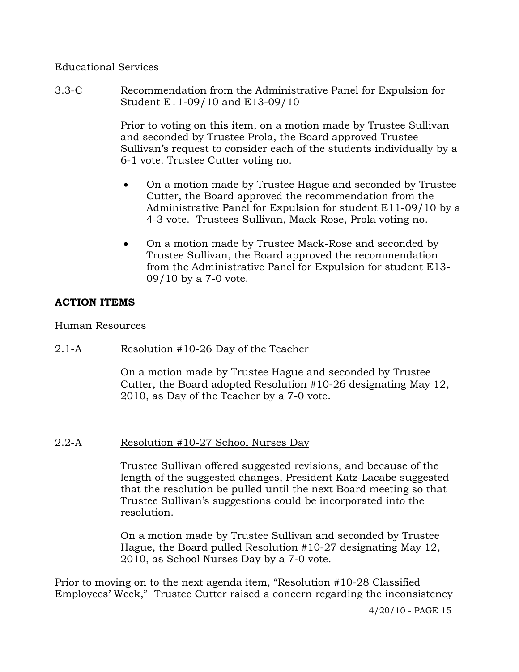# Educational Services

3.3-C Recommendation from the Administrative Panel for Expulsion for Student E11-09/10 and E13-09/10

> Prior to voting on this item, on a motion made by Trustee Sullivan and seconded by Trustee Prola, the Board approved Trustee Sullivan's request to consider each of the students individually by a 6-1 vote. Trustee Cutter voting no.

- On a motion made by Trustee Hague and seconded by Trustee Cutter, the Board approved the recommendation from the Administrative Panel for Expulsion for student E11-09/10 by a 4-3 vote. Trustees Sullivan, Mack-Rose, Prola voting no.
- On a motion made by Trustee Mack-Rose and seconded by Trustee Sullivan, the Board approved the recommendation from the Administrative Panel for Expulsion for student E13- 09/10 by a 7-0 vote.

# **ACTION ITEMS**

# Human Resources

2.1-A Resolution #10-26 Day of the Teacher

On a motion made by Trustee Hague and seconded by Trustee Cutter, the Board adopted Resolution #10-26 designating May 12, 2010, as Day of the Teacher by a 7-0 vote.

# 2.2-A Resolution #10-27 School Nurses Day

Trustee Sullivan offered suggested revisions, and because of the length of the suggested changes, President Katz-Lacabe suggested that the resolution be pulled until the next Board meeting so that Trustee Sullivan's suggestions could be incorporated into the resolution.

On a motion made by Trustee Sullivan and seconded by Trustee Hague, the Board pulled Resolution #10-27 designating May 12, 2010, as School Nurses Day by a 7-0 vote.

Prior to moving on to the next agenda item, "Resolution #10-28 Classified Employees' Week," Trustee Cutter raised a concern regarding the inconsistency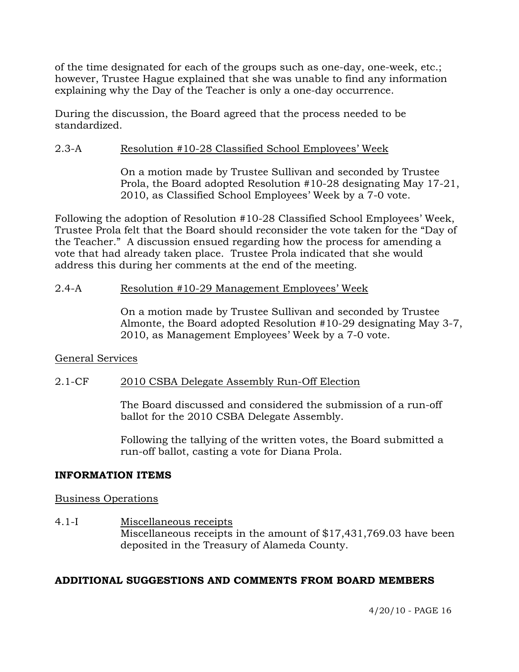of the time designated for each of the groups such as one-day, one-week, etc.; however, Trustee Hague explained that she was unable to find any information explaining why the Day of the Teacher is only a one-day occurrence.

During the discussion, the Board agreed that the process needed to be standardized.

#### 2.3-A Resolution #10-28 Classified School Employees' Week

On a motion made by Trustee Sullivan and seconded by Trustee Prola, the Board adopted Resolution #10-28 designating May 17-21, 2010, as Classified School Employees' Week by a 7-0 vote.

Following the adoption of Resolution #10-28 Classified School Employees' Week, Trustee Prola felt that the Board should reconsider the vote taken for the "Day of the Teacher." A discussion ensued regarding how the process for amending a vote that had already taken place. Trustee Prola indicated that she would address this during her comments at the end of the meeting.

#### 2.4-A Resolution #10-29 Management Employees' Week

On a motion made by Trustee Sullivan and seconded by Trustee Almonte, the Board adopted Resolution #10-29 designating May 3-7, 2010, as Management Employees' Week by a 7-0 vote.

# General Services

# 2.1-CF 2010 CSBA Delegate Assembly Run-Off Election

The Board discussed and considered the submission of a run-off ballot for the 2010 CSBA Delegate Assembly.

Following the tallying of the written votes, the Board submitted a run-off ballot, casting a vote for Diana Prola.

#### **INFORMATION ITEMS**

#### Business Operations

4.1-I Miscellaneous receipts Miscellaneous receipts in the amount of \$17,431,769.03 have been deposited in the Treasury of Alameda County.

# **ADDITIONAL SUGGESTIONS AND COMMENTS FROM BOARD MEMBERS**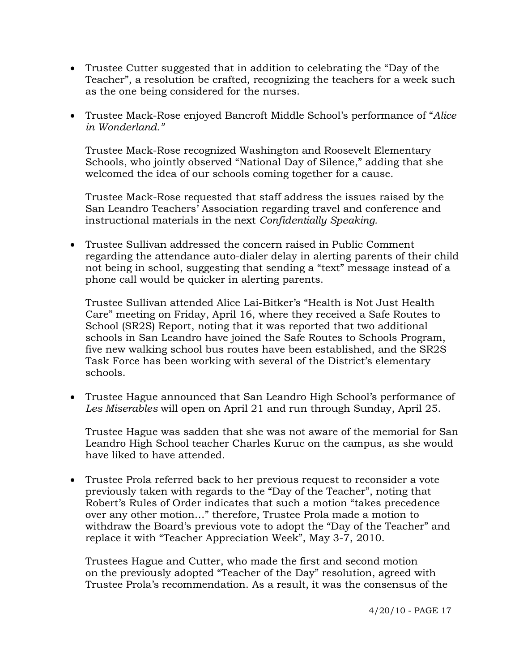- Trustee Cutter suggested that in addition to celebrating the "Day of the Teacher", a resolution be crafted, recognizing the teachers for a week such as the one being considered for the nurses.
- Trustee Mack-Rose enjoyed Bancroft Middle School's performance of "*Alice in Wonderland."*

 Trustee Mack-Rose recognized Washington and Roosevelt Elementary Schools, who jointly observed "National Day of Silence," adding that she welcomed the idea of our schools coming together for a cause.

 Trustee Mack-Rose requested that staff address the issues raised by the San Leandro Teachers' Association regarding travel and conference and instructional materials in the next *Confidentially Speaking.*

• Trustee Sullivan addressed the concern raised in Public Comment regarding the attendance auto-dialer delay in alerting parents of their child not being in school, suggesting that sending a "text" message instead of a phone call would be quicker in alerting parents.

 Trustee Sullivan attended Alice Lai-Bitker's "Health is Not Just Health Care" meeting on Friday, April 16, where they received a Safe Routes to School (SR2S) Report, noting that it was reported that two additional schools in San Leandro have joined the Safe Routes to Schools Program, five new walking school bus routes have been established, and the SR2S Task Force has been working with several of the District's elementary schools.

• Trustee Hague announced that San Leandro High School's performance of *Les Miserables* will open on April 21 and run through Sunday, April 25.

 Trustee Hague was sadden that she was not aware of the memorial for San Leandro High School teacher Charles Kuruc on the campus, as she would have liked to have attended.

• Trustee Prola referred back to her previous request to reconsider a vote previously taken with regards to the "Day of the Teacher", noting that Robert's Rules of Order indicates that such a motion "takes precedence over any other motion…" therefore, Trustee Prola made a motion to withdraw the Board's previous vote to adopt the "Day of the Teacher" and replace it with "Teacher Appreciation Week", May 3-7, 2010.

 Trustees Hague and Cutter, who made the first and second motion on the previously adopted "Teacher of the Day" resolution, agreed with Trustee Prola's recommendation. As a result, it was the consensus of the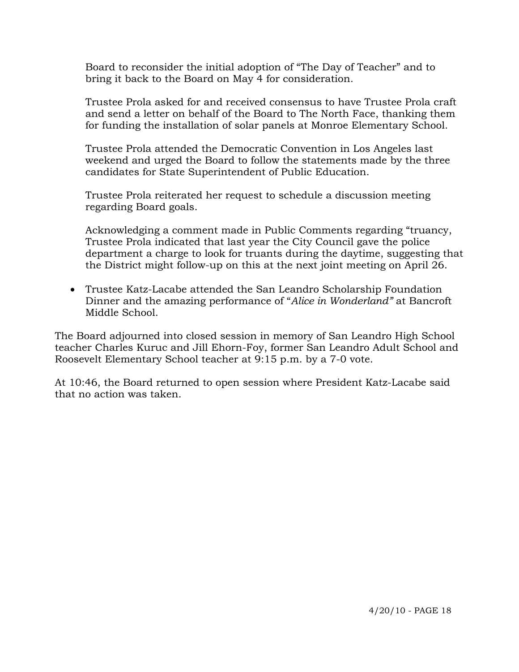Board to reconsider the initial adoption of "The Day of Teacher" and to bring it back to the Board on May 4 for consideration.

 Trustee Prola asked for and received consensus to have Trustee Prola craft and send a letter on behalf of the Board to The North Face, thanking them for funding the installation of solar panels at Monroe Elementary School.

 Trustee Prola attended the Democratic Convention in Los Angeles last weekend and urged the Board to follow the statements made by the three candidates for State Superintendent of Public Education.

 Trustee Prola reiterated her request to schedule a discussion meeting regarding Board goals.

 Acknowledging a comment made in Public Comments regarding "truancy, Trustee Prola indicated that last year the City Council gave the police department a charge to look for truants during the daytime, suggesting that the District might follow-up on this at the next joint meeting on April 26.

• Trustee Katz-Lacabe attended the San Leandro Scholarship Foundation Dinner and the amazing performance of "*Alice in Wonderland"* at Bancroft Middle School.

The Board adjourned into closed session in memory of San Leandro High School teacher Charles Kuruc and Jill Ehorn-Foy, former San Leandro Adult School and Roosevelt Elementary School teacher at 9:15 p.m. by a 7-0 vote.

At 10:46, the Board returned to open session where President Katz-Lacabe said that no action was taken.